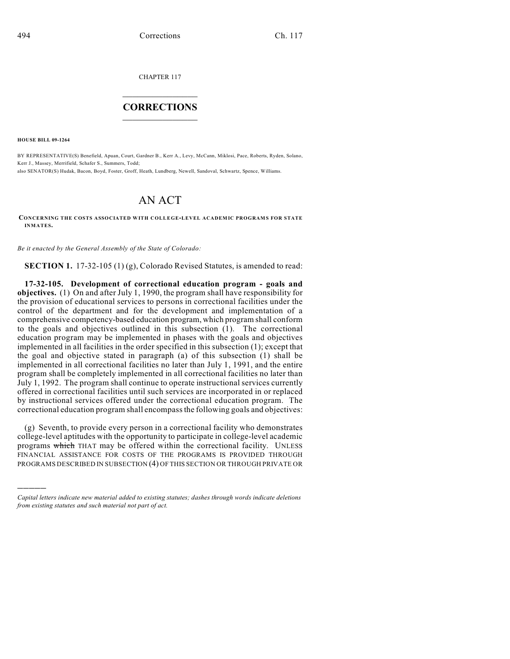CHAPTER 117

## $\mathcal{L}_\text{max}$  . The set of the set of the set of the set of the set of the set of the set of the set of the set of the set of the set of the set of the set of the set of the set of the set of the set of the set of the set **CORRECTIONS**  $\frac{1}{2}$  ,  $\frac{1}{2}$  ,  $\frac{1}{2}$  ,  $\frac{1}{2}$  ,  $\frac{1}{2}$  ,  $\frac{1}{2}$

**HOUSE BILL 09-1264**

)))))

BY REPRESENTATIVE(S) Benefield, Apuan, Court, Gardner B., Kerr A., Levy, McCann, Miklosi, Pace, Roberts, Ryden, Solano, Kerr J., Massey, Merrifield, Schafer S., Summers, Todd;

also SENATOR(S) Hudak, Bacon, Boyd, Foster, Groff, Heath, Lundberg, Newell, Sandoval, Schwartz, Spence, Williams.

## AN ACT

**CONCERNING THE COSTS ASSOCIATED WITH COLLEGE-LEVEL ACADEMIC PROGRAMS FOR STATE INMATES.**

*Be it enacted by the General Assembly of the State of Colorado:*

**SECTION 1.** 17-32-105 (1) (g), Colorado Revised Statutes, is amended to read:

**17-32-105. Development of correctional education program - goals and objectives.** (1) On and after July 1, 1990, the program shall have responsibility for the provision of educational services to persons in correctional facilities under the control of the department and for the development and implementation of a comprehensive competency-based education program, which program shall conform to the goals and objectives outlined in this subsection (1). The correctional education program may be implemented in phases with the goals and objectives implemented in all facilities in the order specified in this subsection (1); except that the goal and objective stated in paragraph (a) of this subsection (1) shall be implemented in all correctional facilities no later than July 1, 1991, and the entire program shall be completely implemented in all correctional facilities no later than July 1, 1992. The program shall continue to operate instructional services currently offered in correctional facilities until such services are incorporated in or replaced by instructional services offered under the correctional education program. The correctional education program shall encompass the following goals and objectives:

(g) Seventh, to provide every person in a correctional facility who demonstrates college-level aptitudes with the opportunity to participate in college-level academic programs which THAT may be offered within the correctional facility. UNLESS FINANCIAL ASSISTANCE FOR COSTS OF THE PROGRAMS IS PROVIDED THROUGH PROGRAMS DESCRIBED IN SUBSECTION (4) OF THIS SECTION OR THROUGH PRIVATE OR

*Capital letters indicate new material added to existing statutes; dashes through words indicate deletions from existing statutes and such material not part of act.*